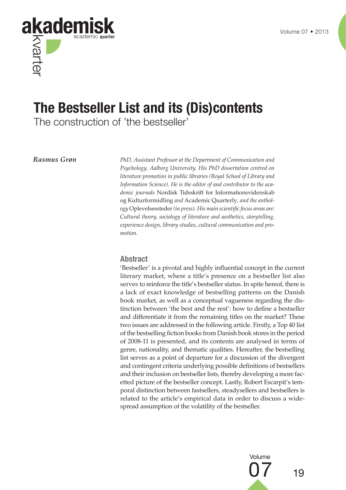

# **The Bestseller List and its (Dis)contents**

The construction of 'the bestseller'

*Rasmus Grøn PhD, Assistant Professor at the Department of Communication and Psychology, Aalborg University. His PhD dissertation centred on literature promotion in public libraries (Royal School of Library and Information Science). He is the editor of and contributor to the academic journals* Nordisk Tidsskrift for Informationsvidenskab og Kulturformidling *and* Academic Quarterly*, and the anthology* Oplevelsessteder *(in press). His main scientific focus areas are: Cultural theory, sociology of literature and aesthetics, storytelling, experience design, library studies, cultural communication and promotion.*

#### **Abstract**

'Bestseller' is a pivotal and highly influential concept in the current literary market, where a title's presence on a bestseller list also serves to reinforce the title's bestseller status. In spite hereof, there is a lack of exact knowledge of bestselling patterns on the Danish book market, as well as a conceptual vagueness regarding the distinction between 'the best and the rest': how to define a bestseller and differentiate it from the remaining titles on the market? These two issues are addressed in the following article. Firstly, a Top 40 list of the bestselling fiction books from Danish book stores in the period of 2008-11 is presented, and its contents are analysed in terms of genre, nationality, and thematic qualities. Hereafter, the bestselling list serves as a point of departure for a discussion of the divergent and contingent criteria underlying possible definitions of bestsellers and their inclusion on bestseller lists, thereby developing a more facetted picture of the bestseller concept. Lastly, Robert Escarpit's temporal distinction between fastsellers, steadysellers and bestsellers is related to the article's empirical data in order to discuss a widespread assumption of the volatility of the bestseller.

> 07 <sup>19</sup> Volume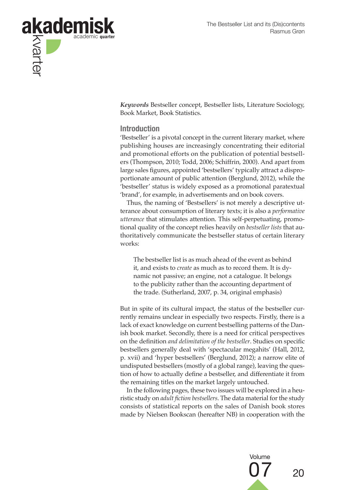

*Keywords* Bestseller concept, Bestseller lists, Literature Sociology, Book Market, Book Statistics.

#### **Introduction**

'Bestseller' is a pivotal concept in the current literary market, where publishing houses are increasingly concentrating their editorial and promotional efforts on the publication of potential bestsellers (Thompson, 2010; Todd, 2006; Schiffrin, 2000). And apart from large sales figures, appointed 'bestsellers' typically attract a disproportionate amount of public attention (Berglund, 2012), while the 'bestseller' status is widely exposed as a promotional paratextual 'brand', for example, in advertisements and on book covers.

Thus, the naming of 'Bestsellers' is not merely a descriptive utterance about consumption of literary texts; it is also a *performative utterance* that stimulates attention. This self-perpetuating, promotional quality of the concept relies heavily on *bestseller lists* that authoritatively communicate the bestseller status of certain literary works:

The bestseller list is as much ahead of the event as behind it, and exists to *create* as much as to record them. It is dynamic not passive; an engine, not a catalogue. It belongs to the publicity rather than the accounting department of the trade. (Sutherland, 2007, p. 34, original emphasis)

But in spite of its cultural impact, the status of the bestseller currently remains unclear in especially two respects. Firstly, there is a lack of exact knowledge on current bestselling patterns of the Danish book market. Secondly, there is a need for critical perspectives on the definition *and delimitation of the bestseller*. Studies on specific bestsellers generally deal with 'spectacular megahits' (Hall, 2012, p. xvii) and 'hyper bestsellers' (Berglund, 2012); a narrow elite of undisputed bestsellers (mostly of a global range), leaving the question of how to actually define a bestseller, and differentiate it from the remaining titles on the market largely untouched.

In the following pages, these two issues will be explored in a heuristic study on *adult fiction bestsellers*. The data material for the study consists of statistical reports on the sales of Danish book stores made by Nielsen Bookscan (hereafter NB) in cooperation with the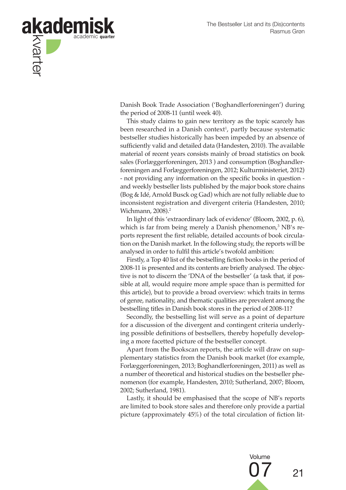

Danish Book Trade Association ('Boghandlerforeningen') during the period of 2008-11 (until week 40).

This study claims to gain new territory as the topic scarcely has been researched in a Danish context<sup>1</sup>, partly because systematic bestseller studies historically has been impeded by an absence of sufficiently valid and detailed data (Handesten, 2010). The available material of recent years consists mainly of broad statistics on book sales (Forlæggerforeningen, 2013 ) and consumption (Boghandlerforeningen and Forlæggerforeningen, 2012; Kulturministeriet, 2012) - not providing any information on the specific books in question and weekly bestseller lists published by the major book store chains (Bog & Idé, Arnold Busck og Gad) which are not fully reliable due to inconsistent registration and divergent criteria (Handesten, 2010; Wichmann, 2008).<sup>2</sup>

In light of this 'extraordinary lack of evidence' (Bloom, 2002, p. 6), which is far from being merely a Danish phenomenon,<sup>3</sup> NB's reports represent the first reliable, detailed accounts of book circulation on the Danish market. In the following study, the reports will be analysed in order to fulfil this article's twofold ambition:

Firstly, a Top 40 list of the bestselling fiction books in the period of 2008-11 is presented and its contents are briefly analysed*.* The objective is not to discern the 'DNA of the bestseller' (a task that, if possible at all, would require more ample space than is permitted for this article), but to provide a broad overview: which traits in terms of genre, nationality, and thematic qualities are prevalent among the bestselling titles in Danish book stores in the period of 2008-11?

Secondly, the bestselling list will serve as a point of departure for a discussion of the divergent and contingent criteria underlying possible definitions of bestsellers, thereby hopefully developing a more facetted picture of the bestseller concept.

Apart from the Bookscan reports, the article will draw on supplementary statistics from the Danish book market (for example, Forlæggerforeningen, 2013; Boghandlerforeningen, 2011) as well as a number of theoretical and historical studies on the bestseller phenomenon (for example, Handesten, 2010; Sutherland, 2007; Bloom, 2002; Sutherland, 1981).

Lastly, it should be emphasised that the scope of NB's reports are limited to book store sales and therefore only provide a partial picture (approximately 45%) of the total circulation of fiction lit-

Volume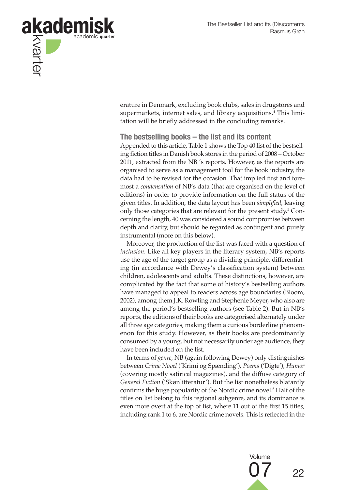

erature in Denmark, excluding book clubs, sales in drugstores and supermarkets, internet sales, and library acquisitions.4 This limitation will be briefly addressed in the concluding remarks.

#### **The bestselling books – the list and its content**

Appended to this article, Table 1 shows the Top 40 list of the bestselling fiction titles in Danish book stores in the period of 2008 – October 2011, extracted from the NB 's reports. However, as the reports are organised to serve as a management tool for the book industry, the data had to be revised for the occasion. That implied first and foremost a *condensation* of NB's data (that are organised on the level of editions) in order to provide information on the full status of the given titles. In addition, the data layout has been *simplified*, leaving only those categories that are relevant for the present study.<sup>5</sup> Concerning the length, 40 was considered a sound compromise between depth and clarity, but should be regarded as contingent and purely instrumental (more on this below).

Moreover, the production of the list was faced with a question of *inclusion.* Like all key players in the literary system, NB's reports use the age of the target group as a dividing principle, differentiating (in accordance with Dewey's classification system) between children, adolescents and adults. These distinctions, however, are complicated by the fact that some of history's bestselling authors have managed to appeal to readers across age boundaries (Bloom, 2002), among them J.K. Rowling and Stephenie Meyer, who also are among the period's bestselling authors (see Table 2). But in NB's reports, the editions of their books are categorised alternately under all three age categories, making them a curious borderline phenomenon for this study. However, as their books are predominantly consumed by a young, but not necessarily under age audience, they have been included on the list.

In terms of *genre*, NB (again following Dewey) only distinguishes between *Crime Novel* ('Krimi og Spænding'), *Poems* ('Digte'), *Humor* (covering mostly satirical magazines), and the diffuse category of *General Fiction* ('Skønlitteratur'). But the list nonetheless blatantly confirms the huge popularity of the Nordic crime novel.<sup>6</sup> Half of the titles on list belong to this regional subgenre, and its dominance is even more overt at the top of list, where 11 out of the first 15 titles, including rank 1 to 6, are Nordic crime novels. This is reflected in the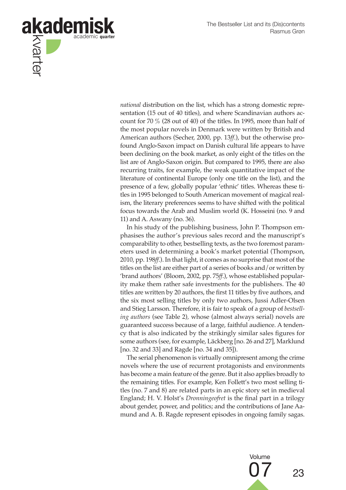

*national* distribution on the list, which has a strong domestic representation (15 out of 40 titles), and where Scandinavian authors account for 70 % (28 out of 40) of the titles. In 1995, more than half of the most popular novels in Denmark were written by British and American authors (Secher, 2000, pp. 13*ff*.), but the otherwise profound Anglo-Saxon impact on Danish cultural life appears to have been declining on the book market, as only eight of the titles on the list are of Anglo-Saxon origin. But compared to 1995, there are also recurring traits, for example, the weak quantitative impact of the literature of continental Europe (only one title on the list), and the presence of a few, globally popular 'ethnic' titles. Whereas these titles in 1995 belonged to South American movement of magical realism, the literary preferences seems to have shifted with the political focus towards the Arab and Muslim world (K. Hosseini (no. 9 and 11) and A. Aswany (no. 36).

In his study of the publishing business, John P. Thompson emphasises the author's previous sales record and the manuscript's comparability to other, bestselling texts, as the two foremost parameters used in determining a book's market potential (Thompson, 2010, pp. 198*ff*.). In that light, it comes as no surprise that most of the titles on the list are either part of a series of books and/or written by 'brand authors' (Bloom, 2002, pp. 75*ff*.), whose established popularity make them rather safe investments for the publishers. The 40 titles are written by 20 authors, the first 11 titles by five authors, and the six most selling titles by only two authors, Jussi Adler-Olsen and Stieg Larsson. Therefore, it is fair to speak of a group of *bestselling authors* (see Table 2)*,* whose (almost always serial) novels are guaranteed success because of a large, faithful audience. A tendency that is also indicated by the strikingly similar sales figures for some authors (see, for example, Läckberg [no. 26 and 27], Marklund [no. 32 and 33] and Ragde [no. 34 and 35]).

The serial phenomenon is virtually omnipresent among the crime novels where the use of recurrent protagonists and environments has become a main feature of the genre. But it also applies broadly to the remaining titles. For example, Ken Follett's two most selling titles (no. 7 and 8) are related parts in an epic story set in medieval England; H. V. Holst's *Dronningeofret* is the final part in a trilogy about gender, power, and politics; and the contributions of Jane Aamund and A. B. Ragde represent episodes in ongoing family sagas.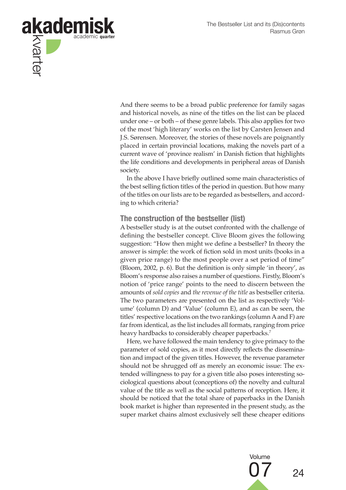

And there seems to be a broad public preference for family sagas and historical novels, as nine of the titles on the list can be placed under one – or both – of these genre labels. This also applies for two of the most 'high literary' works on the list by Carsten Jensen and J.S. Sørensen. Moreover, the stories of these novels are poignantly placed in certain provincial locations, making the novels part of a current wave of 'province realism' in Danish fiction that highlights the life conditions and developments in peripheral areas of Danish society.

In the above I have briefly outlined some main characteristics of the best selling fiction titles of the period in question. But how many of the titles on our lists are to be regarded as bestsellers, and according to which criteria?

#### **The construction of the bestseller (list)**

A bestseller study is at the outset confronted with the challenge of defining the bestseller concept. Clive Bloom gives the following suggestion: "How then might we define a bestseller? In theory the answer is simple: the work of fiction sold in most units (books in a given price range) to the most people over a set period of time" (Bloom, 2002, p. 6). But the definition is only simple 'in theory', as Bloom's response also raises a number of questions. Firstly, Bloom's notion of 'price range' points to the need to discern between the amounts of *sold copies* and *the revenue of the title* as bestseller criteria. The two parameters are presented on the list as respectively 'Volume' (column D) and 'Value' (column E), and as can be seen, the titles' respective locations on the two rankings (column A and F) are far from identical, as the list includes all formats, ranging from price heavy hardbacks to considerably cheaper paperbacks.7

Here, we have followed the main tendency to give primacy to the parameter of sold copies, as it most directly reflects the dissemination and impact of the given titles. However, the revenue parameter should not be shrugged off as merely an economic issue: The extended willingness to pay for a given title also poses interesting sociological questions about (conceptions of) the novelty and cultural value of the title as well as the social patterns of reception. Here, it should be noticed that the total share of paperbacks in the Danish book market is higher than represented in the present study, as the super market chains almost exclusively sell these cheaper editions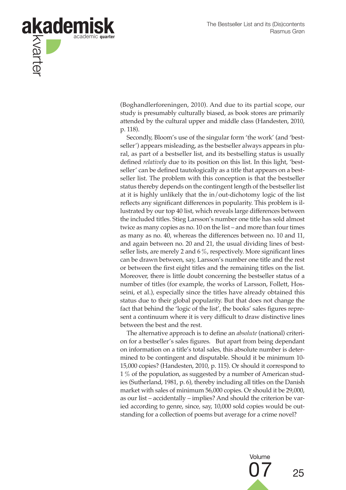

(Boghandlerforeningen, 2010). And due to its partial scope, our study is presumably culturally biased, as book stores are primarily attended by the cultural upper and middle class (Handesten, 2010, p. 118).

Secondly, Bloom's use of the singular form 'the work' (and 'bestseller') appears misleading, as the bestseller always appears in plural, as part of a bestseller list, and its bestselling status is usually defined *relatively* due to its position on this list. In this light, 'bestseller' can be defined tautologically as a title that appears on a bestseller list. The problem with this conception is that the bestseller status thereby depends on the contingent length of the bestseller list at it is highly unlikely that the in/out-dichotomy logic of the list reflects any significant differences in popularity. This problem is illustrated by our top 40 list, which reveals large differences between the included titles. Stieg Larsson's number one title has sold almost twice as many copies as no. 10 on the list – and more than four times as many as no. 40, whereas the differences between no. 10 and 11, and again between no. 20 and 21, the usual dividing lines of bestseller lists, are merely 2 and 6 %, respectively. More significant lines can be drawn between, say, Larsson's number one title and the rest or between the first eight titles and the remaining titles on the list. Moreover, there is little doubt concerning the bestseller status of a number of titles (for example, the works of Larsson, Follett, Hosseini, et al.), especially since the titles have already obtained this status due to their global popularity. But that does not change the fact that behind the 'logic of the list', the books' sales figures represent a continuum where it is very difficult to draw distinctive lines between the best and the rest.

The alternative approach is to define an *absolute* (national) criterion for a bestseller's sales figures. But apart from being dependant on information on a title's total sales, this absolute number is determined to be contingent and disputable. Should it be minimum 10- 15,000 copies? (Handesten, 2010, p. 115). Or should it correspond to 1 % of the population, as suggested by a number of American studies (Sutherland, 1981, p. 6), thereby including all titles on the Danish market with sales of minimum 56,000 copies. Or should it be 29,000, as our list – accidentally – implies? And should the criterion be varied according to genre, since, say, 10,000 sold copies would be outstanding for a collection of poems but average for a crime novel?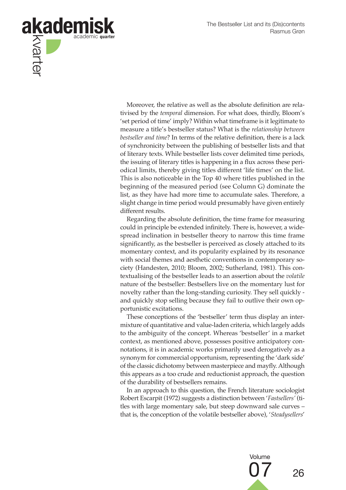

Moreover, the relative as well as the absolute definition are relativised by the *temporal* dimension. For what does, thirdly, Bloom's 'set period of time' imply? Within what timeframe is it legitimate to measure a title's bestseller status? What is the *relationship between bestseller and time*? In terms of the relative definition, there is a lack of synchronicity between the publishing of bestseller lists and that of literary texts. While bestseller lists cover delimited time periods, the issuing of literary titles is happening in a flux across these periodical limits, thereby giving titles different 'life times' on the list. This is also noticeable in the Top 40 where titles published in the beginning of the measured period (see Column G) dominate the list, as they have had more time to accumulate sales. Therefore, a slight change in time period would presumably have given entirely different results.

Regarding the absolute definition, the time frame for measuring could in principle be extended infinitely. There is, however, a widespread inclination in bestseller theory to narrow this time frame significantly, as the bestseller is perceived as closely attached to its momentary context, and its popularity explained by its resonance with social themes and aesthetic conventions in contemporary society (Handesten, 2010; Bloom, 2002; Sutherland, 1981). This contextualising of the bestseller leads to an assertion about the *volatile*  nature of the bestseller: Bestsellers live on the momentary lust for novelty rather than the long-standing curiosity. They sell quickly and quickly stop selling because they fail to outlive their own opportunistic excitations.

These conceptions of the 'bestseller' term thus display an intermixture of quantitative and value-laden criteria, which largely adds to the ambiguity of the concept. Whereas 'bestseller' in a market context, as mentioned above, possesses positive anticipatory connotations, it is in academic works primarily used derogatively as a synonym for commercial opportunism, representing the 'dark side' of the classic dichotomy between masterpiece and mayfly. Although this appears as a too crude and reductionist approach, the question of the durability of bestsellers remains.

In an approach to this question, the French literature sociologist Robert Escarpit (1972) suggests a distinction between '*Fastsellers'* (titles with large momentary sale, but steep downward sale curves – that is, the conception of the volatile bestseller above), '*Steadysellers*'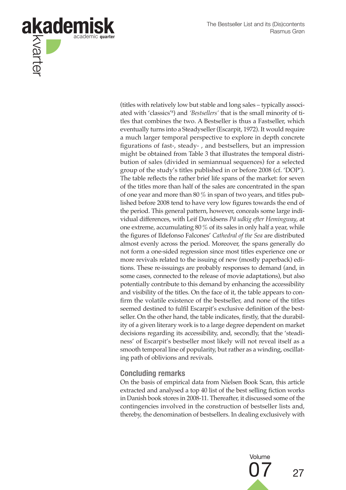

(titles with relatively low but stable and long sales – typically associated with 'classics'8 ) and *'Bestsellers'* that is the small minority of titles that combines the two. A Bestseller is thus a Fastseller, which eventually turns into a Steadyseller (Escarpit, 1972). It would require a much larger temporal perspective to explore in depth concrete figurations of fast-, steady- , and bestsellers, but an impression might be obtained from Table 3 that illustrates the temporal distribution of sales (divided in semiannual sequences) for a selected group of the study's titles published in or before 2008 (cf. 'DOP'). The table reflects the rather brief life spans of the market: for seven of the titles more than half of the sales are concentrated in the span of one year and more than 80 % in span of two years, and titles published before 2008 tend to have very low figures towards the end of the period. This general pattern, however, conceals some large individual differences, with Leif Davidsens *På udkig efter Hemingway*, at one extreme, accumulating 80 % of its sales in only half a year, while the figures of Ildefonso Falcones' *Cathedral of the Sea* are distributed almost evenly across the period. Moreover, the spans generally do not form a one-sided regression since most titles experience one or more revivals related to the issuing of new (mostly paperback) editions. These re-issuings are probably responses to demand (and, in some cases, connected to the release of movie adaptations), but also potentially contribute to this demand by enhancing the accessibility and visibility of the titles. On the face of it, the table appears to confirm the volatile existence of the bestseller, and none of the titles seemed destined to fulfil Escarpit's exclusive definition of the bestseller. On the other hand, the table indicates, firstly, that the durability of a given literary work is to a large degree dependent on market decisions regarding its accessibility, and, secondly, that the 'steadiness' of Escarpit's bestseller most likely will not reveal itself as a smooth temporal line of popularity, but rather as a winding, oscillating path of oblivions and revivals.

#### **Concluding remarks**

On the basis of empirical data from Nielsen Book Scan, this article extracted and analysed a top 40 list of the best selling fiction works in Danish book stores in 2008-11. Thereafter, it discussed some of the contingencies involved in the construction of bestseller lists and, thereby, the denomination of bestsellers. In dealing exclusively with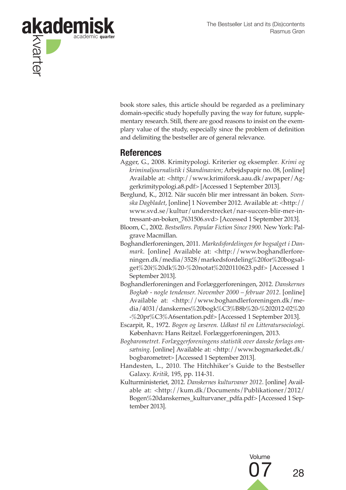

book store sales, this article should be regarded as a preliminary domain-specific study hopefully paving the way for future, supplementary research. Still, there are good reasons to insist on the exemplary value of the study, especially since the problem of definition and delimiting the bestseller are of general relevance.

### **References**

- Agger, G., 2008. Krimitypologi. Kriterier og eksempler*. Krimi og kriminaljournalistik i Skandinavien*; Arbejdspapir no. 08, [online] Available at: <http://www.krimiforsk.aau.dk/awpaper/Aggerkrimitypologi.a8.pdf> [Accessed 1 September 2013].
- Berglund, K., 2012. När succén blir mer intressant än boken. *Svenska Dagbladet*, [online] 1 November 2012. Available at: <http:// www.svd.se/kultur/understrecket/nar-succen-blir-mer-intressant-an-boken\_7631506.svd> [Accessed 1 September 2013].
- Bloom, C., 2002. *Bestsellers. Popular Fiction Since 1900.* New York: Palgrave Macmillan.
- Boghandlerforeningen, 2011. *Markedsfordelingen for bogsalget i Danmark*. [online] Available at: <http://www.boghandlerforeningen.dk/media/3528/markedsfordeling%20for%20bogsalget%20i%20dk%20-%20notat%2020110623.pdf> [Accessed 1 September 2013].
- Boghandlerforeningen and Forlæggerforeningen, 2012. *Danskernes Bogkøb - nogle tendenser. November 2000 – februar 2012*. [online] Available at: <http://www.boghandlerforeningen.dk/media/4031/danskernes%20bogk%C3%B8b%20-%202012-02%20 -%20pr%C3%A6sentation.pdf> [Accessed 1 September 2013].
- Escarpit, R., 1972. *Bogen og læseren. Udkast til en Litteratursociologi*. København: Hans Reitzel. Forlæggerforeningen, 2013.
- *Bogbarometret. Forlæggerforeningens statistik over danske forlags omsætning*. [online] Available at: <http://www.bogmarkedet.dk/ bogbarometret> [Accessed 1 September 2013].
- Handesten, L., 2010. The Hitchhiker's Guide to the Bestseller Galaxy. *Kritik,* 195, pp. 114-31.
- Kulturministeriet, 2012. *Danskernes kulturvaner 2012*. [online] Available at: <http://kum.dk/Documents/Publikationer/2012/ Bogen%20danskernes\_kulturvaner\_pdfa.pdf> [Accessed 1 September 2013].

Volume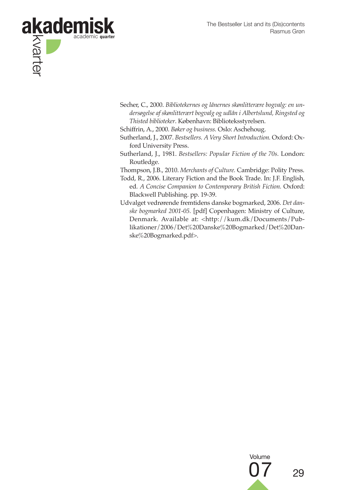

- Secher, C., 2000. *Bibliotekernes og lånernes skønlitterære bogvalg: en undersøgelse af skønlitterært bogvalg og udlån i Albertslund, Ringsted og Thisted biblioteker*. København: Biblioteksstyrelsen.
- Schiffrin, A., 2000. *Bøker og business.* Oslo: Aschehoug.
- Sutherland, J., 2007. *Bestsellers. A Very Short Introduction.* Oxford: Oxford University Press.
- Sutherland, J., 1981. *Bestsellers: Popular Fiction of the 70s.* London: Routledge.
- Thompson, J.B., 2010. *Merchants of Culture.* Cambridge: Polity Press.
- Todd, R., 2006. Literary Fiction and the Book Trade. In: J.F. English, ed. *A Concise Companion to Contemporary British Fiction.* Oxford: Blackwell Publishing. pp. 19-39.
- Udvalget vedrørende fremtidens danske bogmarked, 2006. *Det danske bogmarked 2001-05.* [pdf] Copenhagen: Ministry of Culture, Denmark. Available at: <http://kum.dk/Documents/Publikationer/2006/Det%20Danske%20Bogmarked/Det%20Danske%20Bogmarked.pdf>.

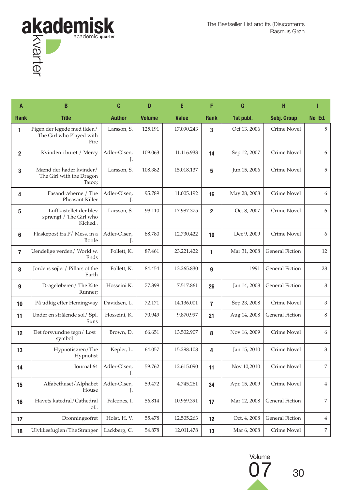

| A              | B                                                               | C                  | D             | Е            | F               | G             | H                      |                  |
|----------------|-----------------------------------------------------------------|--------------------|---------------|--------------|-----------------|---------------|------------------------|------------------|
| <b>Rank</b>    | <b>Title</b>                                                    | <b>Author</b>      | <b>Volume</b> | <b>Value</b> | <b>Rank</b>     | 1st publ.     | Subj. Group            | No Ed.           |
| 1              | Pigen der legede med ilden/<br>The Girl who Played with<br>Fire | Larsson, S.        | 125.191       | 17.090.243   | $\overline{3}$  | Oct 13, 2006  | Crime Novel            | 5                |
| $\mathbf{2}$   | Kvinden i buret / Mercy                                         | Adler-Olsen,<br>J. | 109.063       | 11.116.933   | 14              | Sep 12, 2007  | Crime Novel            | 6                |
| 3              | Mænd der hader kvinder/<br>The Girl with the Dragon<br>Tatoo;   | Larsson, S.        | 108.382       | 15.018.137   | $5\phantom{.0}$ | Jun 15, 2006  | Crime Novel            | 5                |
| 4              | Fasandræberne / The<br>Pheasant Killer                          | Adler-Olsen,<br>J. | 95.789        | 11.005.192   | 16              | May 28, 2008  | Crime Novel            | 6                |
| 5              | Luftkastellet der blev<br>sprængt / The Girl who<br>Kicked      | Larsson, S.        | 93.110        | 17.987.375   | $\overline{2}$  | Oct 8, 2007   | Crime Novel            | $\boldsymbol{6}$ |
| 6              | Flaskepost fra P/Mess. in a<br><b>Bottle</b>                    | Adler-Olsen,<br>J. | 88.780        | 12.730.422   | 10              | Dec 9, 2009   | Crime Novel            | 6                |
| $\overline{7}$ | Uendelige verden/ World w.<br>Ends                              | Follett, K.        | 87.461        | 23.221.422   | $\mathbf{1}$    | Mar 31, 2008  | <b>General Fiction</b> | 12               |
| 8              | Jordens søjler / Pillars of the<br>Earth                        | Follett, K.        | 84.454        | 13.265.830   | 9               | 1991          | <b>General Fiction</b> | $28\,$           |
| 9              | Drageløberen/The Kite<br>Runner;                                | Hosseini K.        | 77.399        | 7.517.861    | 26              | Jan 14, 2008  | <b>General Fiction</b> | $\,8\,$          |
| 10             | På udkig efter Hemingway                                        | Davidsen, L.       | 72.171        | 14.136.001   | $\overline{7}$  | Sep 23, 2008  | Crime Novel            | 3                |
| 11             | Under en strålende sol/ Spl.<br>Suns                            | Hosseini, K.       | 70.949        | 9.870.997    | 21              | Aug 14, 2008  | <b>General Fiction</b> | $\,8\,$          |
| 12             | Det forsvundne tegn/Lost<br>symbol                              | Brown, D.          | 66.651        | 13.502.907   | 8               | Nov 16, 2009  | Crime Novel            | $\boldsymbol{6}$ |
| 13             | Hypnotisøren/The<br>Hypnotist                                   | Kepler, L.         | 64.057        | 15.298.108   | 4               | Jan 15, 2010  | Crime Novel            | 3                |
| 14             | Journal 64                                                      | Adler-Olsen,<br>J. | 59.762        | 12.615.090   | 11              | Nov 10,2010   | Crime Novel            | $\,7$            |
| 15             | Alfabethuset/Alphabet<br>House                                  | Adler-Olsen,<br>J. | 59.472        | 4.745.261    | 34              | Apr. 15, 2009 | Crime Novel            | $\overline{4}$   |
| 16             | Havets katedral/Cathedral<br>of                                 | Falcones, I.       | 56.814        | 10.969.391   | 17              | Mar 12, 2008  | <b>General Fiction</b> | 7                |
| 17             | Dronningeofret                                                  | Holst, H.V.        | 55.478        | 12.505.263   | 12              | Oct. 4, 2008  | <b>General Fiction</b> | 4                |
| 18             | Ulykkesfuglen/The Stranger                                      | Läckberg, C.       | 54.878        | 12.011.478   | 13              | Mar 6, 2008   | Crime Novel            | 7                |

Volume

## 30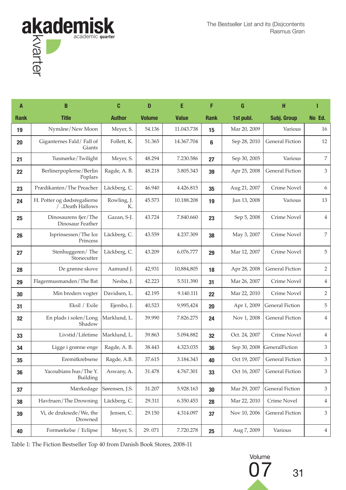| A           | B                                              | C                 | D             | Ε            | F           | G             | н                      |                  |
|-------------|------------------------------------------------|-------------------|---------------|--------------|-------------|---------------|------------------------|------------------|
| <b>Rank</b> | <b>Title</b>                                   | <b>Author</b>     | <b>Volume</b> | <b>Value</b> | <b>Rank</b> | 1st publ.     | Subj. Group            | No Ed.           |
| 19          | Nymåne/New Moon                                | Meyer, S.         | 54.136        | 11.043.738   | 15          | Mar 20, 2009  | Various                | 16               |
| 20          | Giganternes Fald / Fall of<br>Giants           | Follett, K.       | 51.365        | 14.367.704   | 6           | Sep 28, 2010  | <b>General Fiction</b> | 12               |
| 21          | Tusmørke/Twilight                              | Meyer, S.         | 48.294        | 7.230.586    | 27          | Sep 30, 2005  | Various                | $\overline{7}$   |
| 22          | Berlinerpoplerne/Berlin<br>Poplars             | Ragde, A. B.      | 48.218        | 3.805.343    | 39          | Apr 25, 2008  | <b>General Fiction</b> | 3                |
| 23          | Prædikanten/The Preacher                       | Läckberg, C.      | 46.940        | 4.426.815    | 35          | Aug 21, 2007  | Crime Novel            | $\boldsymbol{6}$ |
| 24          | H. Potter og dødsregalierne<br>/ Death Hallows | Rowling, J.<br>К. | 45.573        | 10.188.208   | 19          | Jun 13, 2008  | Various                | 13               |
| 25          | Dinosaurens fjer/The<br>Dinosaur Feather       | Gazan, S-J.       | 43.724        | 7.840.660    | 23          | Sep 5, 2008   | Crime Novel            | $\,4\,$          |
| 26          | Isprinsessen/The Ice<br>Princess               | Läckberg, C.      | 43.559        | 4.237.309    | 38          | May 3, 2007   | Crime Novel            | $\overline{7}$   |
| 27          | Stenhuggeren/The<br>Stonecutter                | Läckberg, C.      | 43.209        | 6.076.777    | 29          | Mar 12, 2007  | Crime Novel            | 5                |
| 28          | De grønne skove                                | Aamund J.         | 42,931        | 10,884,805   | 18          | Apr 28, 2008  | <b>General Fiction</b> | $\overline{2}$   |
| 29          | Flagermusmanden/The Bat                        | Nesbø, J.         | 42.223        | 5.511.390    | 31          | Mar 26, 2007  | Crime Novel            | $\overline{4}$   |
| 30          | Min broders vogter                             | Davidsen, L.      | 42.195        | 9.140.111    | 22          | Mar 22, 2010  | Crime Novel            | $\overline{2}$   |
| 31          | Eksil / Exile                                  | Ejersbo, J.       | 40,523        | 9,995,424    | 20          | Apr 1, 2009   | <b>General Fiction</b> | 5                |
| 32          | En plads i solen/Long<br>Shadow                | Marklund, L.      | 39.990        | 7.826.275    | 24          | Nov 1, 2008   | <b>General Fiction</b> | $\overline{4}$   |
| 33          | Livstid / Lifetime                             | Marklund, L.      | 39.863        | 5.094.882    | 32          | Oct. 24, 2007 | Crime Novel            | $\overline{4}$   |
| 34          | Ligge i grønne enge                            | Ragde, A. B.      | 38.443        | 4.323.035    | 36          | Sep 30, 2008  | GeneralFiction         | 3                |
| 35          | Eremitkrebsene                                 | Ragde, A.B.       | 37.615        | 3.184.343    | 40          | Oct 19, 2007  | <b>General Fiction</b> | 3                |
| 36          | Yacoubians hus/The Y.<br>Building              | Aswany, A.        | 31.478        | 4.767.301    | 33          | Oct 16, 2007  | <b>General Fiction</b> | 3                |
| 37          | Mærkedage                                      | Sørensen, J.S.    | 31.207        | 5.928.163    | 30          | Mar 29, 2007  | <b>General Fiction</b> | 3                |
| 38          | Havfruen/The Drowning                          | Läckberg, C.      | 29.311        | 6.350.453    | 28          | Mar 22, 2010  | Crime Novel            | 4                |
| 39          | Vi, de druknede/We, the<br>Drowned             | Jensen, C.        | 29.150        | 4.314.097    | 37          | Nov 10, 2006  | <b>General Fiction</b> | 3                |
| 40          | Formørkelse / Eclipse                          | Meyer, S.         | 29.071        | 7.720.278    | 25          | Aug 7, 2009   | Various                | 4                |
|             |                                                |                   |               |              |             |               |                        |                  |

Table 1: The Fiction Bestseller Top 40 from Danish Book Stores, 2008-11

akademisk<br> **akademisk**<br> **akademis** 

academic **quarter**

31

Volume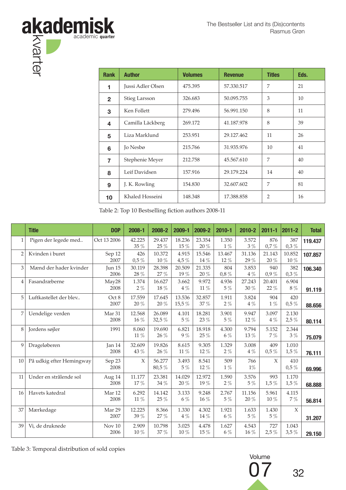Volume

32



| <b>Rank</b>     | <b>Author</b>     | <b>Volumes</b> | <b>Revenue</b> | <b>Titles</b>   | Eds. |
|-----------------|-------------------|----------------|----------------|-----------------|------|
| 1               | Jussi Adler Olsen | 475.395        | 57.330.517     | 7               | 21   |
| $\overline{2}$  | Stieg Larsson     | 326.683        | 50.095.755     | 3               | 10   |
| 3               | Ken Follett       | 279.496        | 56.991.150     | 8               | 11   |
| 4               | Camilla Läckberg  | 269.172        | 41.187.978     | 8               | 39   |
| 5               | Liza Marklund     | 253.951        | 29.127.462     | 11              | 26   |
| 6               | <b>Jo</b> Nesbø   | 215.766        | 31.935.976     | 10 <sup>1</sup> | 41   |
| $\overline{7}$  | Stephenie Meyer   | 212.758        | 45.567.610     | 7               | 40   |
| 8               | Leif Davidsen     | 157.916        | 29.179.224     | 14              | 40   |
| 9               | J. K. Rowling     | 154.830        | 32.607.602     | 7               | 81   |
| 10 <sup>1</sup> | Khaled Hosseini   | 148.348        | 17.388.858     | $\overline{2}$  | 16   |

Table 2: Top 10 Bestselling fiction authors 2008-11

|                | <b>Title</b>             | <b>DOP</b>     | 2008-1           | 2008-2             | 2009-1           | 2009-2           | $2010 - 1$     | 2010-2             | $2011 - 1$       | $2011 - 2$         | <b>Total</b> |
|----------------|--------------------------|----------------|------------------|--------------------|------------------|------------------|----------------|--------------------|------------------|--------------------|--------------|
| $\mathbf{1}$   | Pigen der legede med     | Oct 13 2006    | 42.225<br>35 %   | 29.437<br>25 %     | 18.236<br>15%    | 23.354<br>20%    | 1.350<br>$1\%$ | 3.572<br>$3\%$     | 876<br>$0.7\%$   | 387<br>$0,3\%$     | 119.437      |
| $\overline{2}$ | Kvinden i buret          | Sep 12<br>2007 | 426<br>$0,5\%$   | 10.372<br>$10\,\%$ | 4.915<br>4,5%    | 15.546<br>14 %   | 13.467<br>12%  | 31.136<br>29 %     | 21.143<br>20%    | 10.852<br>$10\%$   | 107.857      |
| 3              | Mænd der hader kvinder   | Jun 15<br>2006 | 30.119<br>28 %   | 28.398<br>$27\,\%$ | 20.509<br>19%    | 21.335<br>20%    | 804<br>$0,8\%$ | 3.853<br>$4\%$     | 940<br>$0.9\%$   | 382<br>$0,3\%$     | 106.340      |
| $\overline{4}$ | Fasandræberne            | May28<br>2008  | 1.374<br>$2\%$   | 16.627<br>18%      | 3.662<br>$4\%$   | 9.972<br>$11\%$  | 4.936<br>$5\%$ | 27.243<br>$30\,\%$ | 20.401<br>$22\%$ | 6.904<br>8%        | 91.119       |
| 5              | Luftkastellet der blev   | Oct 8<br>2007  | 17.559<br>20%    | 17.645<br>20%      | 13.536<br>15,5%  | 32.857<br>37 %   | 1.911<br>$2\%$ | 3.824<br>$4\ \%$   | 904<br>$1\,\%$   | 420<br>$0,5\%$     | 88.656       |
| 7              | Uendelige verden         | Mar 31<br>2008 | 12.568<br>$16\%$ | 26.089<br>32,5%    | 4.101<br>5%      | 18.281<br>23 %   | 3.901<br>$5\%$ | 9.947<br>12%       | 3.097<br>$4\%$   | 2.130<br>$2,5\%$   | 80.114       |
| 8              | Jordens søjler           | 1991           | 8.060<br>$11\%$  | 19.690<br>26 %     | 6.821<br>$9\,\%$ | 18.918<br>$25\%$ | 4.300<br>$6\%$ | 9.794<br>13%       | 5.152<br>7%      | 2.344<br>$3\ \%$   | 75.079       |
| 9              | Drageløberen             | Jan 14<br>2008 | 32.609<br>43 %   | 19.826<br>26 %     | 8.615<br>$11\%$  | 9.305<br>12%     | 1.329<br>$2\%$ | 3.008<br>$4\%$     | 409<br>$0,5\%$   | 1.010<br>$1,5\%$   | 76.111       |
| 10             | På udkig efter Hemingway | Sep 23<br>2008 | X                | 56.277<br>80,5%    | 3.493<br>5%      | 8.541<br>12%     | 509<br>$1\%$   | 766<br>$1\%$       | $\chi$           | 410<br>$0,\!5\,\%$ | 69.996       |
| 11             | Under en strålende sol   | Aug 14<br>2008 | 11.177<br>17%    | 23.381<br>$34\%$   | 14.029<br>20%    | 12.972<br>19 %   | 1.590<br>$2\%$ | 3.576<br>$5\,\%$   | 993<br>$1,5\%$   | 1.170<br>$1,5\%$   | 68.888       |
| 16             | Havets katedral          | Mar 12<br>2008 | 6.292<br>$11\%$  | 14.142<br>25 %     | 3.133<br>6%      | 9.248<br>16%     | 2.767<br>5%    | 11.156<br>20%      | 5.961<br>10%     | 4.115<br>7%        | 56.814       |
| 37             | Mærkedage                | Mar 29<br>2007 | 12.225<br>39 %   | 8.366<br>$27\,\%$  | 1.330<br>$4\%$   | 4.302<br>14 %    | 1.921<br>6%    | 1.633<br>$5\,\%$   | 1.430<br>$5\,\%$ | X                  | 31.207       |
| 39             | Vi, de druknede          | Nov 10<br>2006 | 2.909<br>10%     | 10.798<br>37 %     | 3.025<br>$10\%$  | 4.478<br>15%     | 1.627<br>$6\%$ | 4.543<br>16%       | 727<br>$2,5\%$   | 1.043<br>$3,5\%$   | 29.150       |

Table 3: Temporal distribution of sold copies